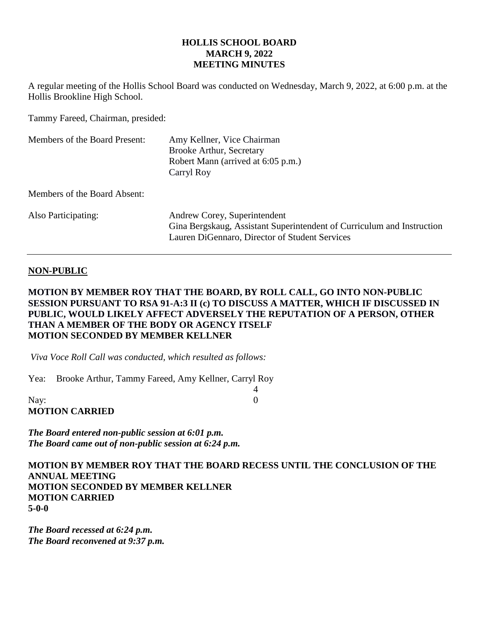## **HOLLIS SCHOOL BOARD MARCH 9, 2022 MEETING MINUTES**

A regular meeting of the Hollis School Board was conducted on Wednesday, March 9, 2022, at 6:00 p.m. at the Hollis Brookline High School.

Tammy Fareed, Chairman, presided:

| Members of the Board Present: | Amy Kellner, Vice Chairman<br><b>Brooke Arthur, Secretary</b><br>Robert Mann (arrived at 6:05 p.m.)<br>Carryl Roy                                        |
|-------------------------------|----------------------------------------------------------------------------------------------------------------------------------------------------------|
| Members of the Board Absent:  |                                                                                                                                                          |
| Also Participating:           | Andrew Corey, Superintendent<br>Gina Bergskaug, Assistant Superintendent of Curriculum and Instruction<br>Lauren DiGennaro, Director of Student Services |

## **NON-PUBLIC**

# **MOTION BY MEMBER ROY THAT THE BOARD, BY ROLL CALL, GO INTO NON-PUBLIC SESSION PURSUANT TO RSA 91-A:3 II (c) TO DISCUSS A MATTER, WHICH IF DISCUSSED IN PUBLIC, WOULD LIKELY AFFECT ADVERSELY THE REPUTATION OF A PERSON, OTHER THAN A MEMBER OF THE BODY OR AGENCY ITSELF MOTION SECONDED BY MEMBER KELLNER**

4

*Viva Voce Roll Call was conducted, which resulted as follows:*

Yea: Brooke Arthur, Tammy Fareed, Amy Kellner, Carryl Roy

Nay: 0 **MOTION CARRIED**

*The Board entered non-public session at 6:01 p.m. The Board came out of non-public session at 6:24 p.m.*

**MOTION BY MEMBER ROY THAT THE BOARD RECESS UNTIL THE CONCLUSION OF THE ANNUAL MEETING MOTION SECONDED BY MEMBER KELLNER MOTION CARRIED 5-0-0**

*The Board recessed at 6:24 p.m. The Board reconvened at 9:37 p.m.*